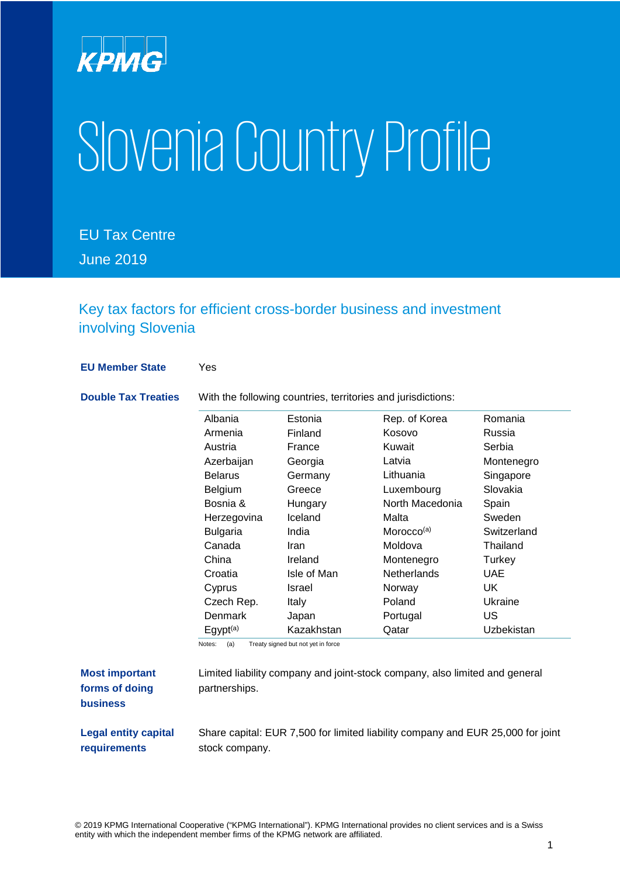

# SloveniaCountry Profile

EU Tax Centre June 2019

Key tax factors for efficient cross-border business and investment involving Slovenia

**EU Member State** Yes

**Double Tax Treaties** With the following countries, territories and jurisdictions:

| Albania         | Estonia      | Rep. of Korea          | Romania     |
|-----------------|--------------|------------------------|-------------|
| Armenia         | Finland      | Kosovo                 | Russia      |
| Austria         | France       | Kuwait                 | Serbia      |
| Azerbaijan      | Georgia      | Latvia                 | Montenegro  |
| <b>Belarus</b>  | Germany      | Lithuania              | Singapore   |
| <b>Belgium</b>  | Greece       | Luxembourg             | Slovakia    |
| Bosnia &        | Hungary      | North Macedonia        | Spain       |
| Herzegovina     | Iceland      | Malta                  | Sweden      |
| <b>Bulgaria</b> | India        | Morocco <sup>(a)</sup> | Switzerland |
| Canada          | Iran         | Moldova                | Thailand    |
| China           | Ireland      | Montenegro             | Turkey      |
| Croatia         | Isle of Man  | Netherlands            | <b>UAE</b>  |
| Cyprus          | Israel       | Norway                 | UK          |
| Czech Rep.      | <b>Italy</b> | Poland                 | Ukraine     |
| <b>Denmark</b>  | Japan        | Portugal               | US          |
| $E$ gypt $(a)$  | Kazakhstan   | Qatar                  | Uzbekistan  |

| <b>Most important</b> |  |  |
|-----------------------|--|--|
| forms of doing        |  |  |
| <b>business</b>       |  |  |

Limited liability company and joint-stock company, also limited and general partnerships.

**Legal entity capital requirements**

Share capital: EUR 7,500 for limited liability company and EUR 25,000 for joint

stock company.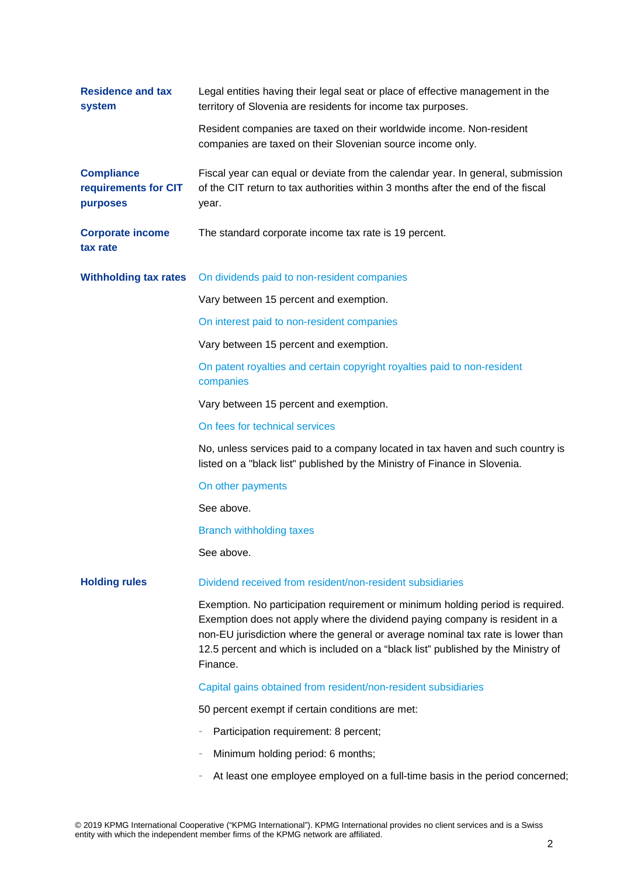| <b>Residence and tax</b><br>system                    | Legal entities having their legal seat or place of effective management in the<br>territory of Slovenia are residents for income tax purposes.                                                                                                                                                                                                    |
|-------------------------------------------------------|---------------------------------------------------------------------------------------------------------------------------------------------------------------------------------------------------------------------------------------------------------------------------------------------------------------------------------------------------|
|                                                       | Resident companies are taxed on their worldwide income. Non-resident<br>companies are taxed on their Slovenian source income only.                                                                                                                                                                                                                |
| <b>Compliance</b><br>requirements for CIT<br>purposes | Fiscal year can equal or deviate from the calendar year. In general, submission<br>of the CIT return to tax authorities within 3 months after the end of the fiscal<br>year.                                                                                                                                                                      |
| <b>Corporate income</b><br>tax rate                   | The standard corporate income tax rate is 19 percent.                                                                                                                                                                                                                                                                                             |
| <b>Withholding tax rates</b>                          | On dividends paid to non-resident companies                                                                                                                                                                                                                                                                                                       |
|                                                       | Vary between 15 percent and exemption.                                                                                                                                                                                                                                                                                                            |
|                                                       | On interest paid to non-resident companies                                                                                                                                                                                                                                                                                                        |
|                                                       | Vary between 15 percent and exemption.                                                                                                                                                                                                                                                                                                            |
|                                                       | On patent royalties and certain copyright royalties paid to non-resident<br>companies                                                                                                                                                                                                                                                             |
|                                                       | Vary between 15 percent and exemption.                                                                                                                                                                                                                                                                                                            |
|                                                       | On fees for technical services                                                                                                                                                                                                                                                                                                                    |
|                                                       | No, unless services paid to a company located in tax haven and such country is<br>listed on a "black list" published by the Ministry of Finance in Slovenia.                                                                                                                                                                                      |
|                                                       | On other payments                                                                                                                                                                                                                                                                                                                                 |
|                                                       | See above.                                                                                                                                                                                                                                                                                                                                        |
|                                                       | <b>Branch withholding taxes</b>                                                                                                                                                                                                                                                                                                                   |
|                                                       | See above.                                                                                                                                                                                                                                                                                                                                        |
| <b>Holding rules</b>                                  | Dividend received from resident/non-resident subsidiaries                                                                                                                                                                                                                                                                                         |
|                                                       | Exemption. No participation requirement or minimum holding period is required.<br>Exemption does not apply where the dividend paying company is resident in a<br>non-EU jurisdiction where the general or average nominal tax rate is lower than<br>12.5 percent and which is included on a "black list" published by the Ministry of<br>Finance. |
|                                                       | Capital gains obtained from resident/non-resident subsidiaries                                                                                                                                                                                                                                                                                    |
|                                                       | 50 percent exempt if certain conditions are met:                                                                                                                                                                                                                                                                                                  |
|                                                       | Participation requirement: 8 percent;                                                                                                                                                                                                                                                                                                             |
|                                                       | Minimum holding period: 6 months;                                                                                                                                                                                                                                                                                                                 |
|                                                       | At least one employee employed on a full-time basis in the period concerned;                                                                                                                                                                                                                                                                      |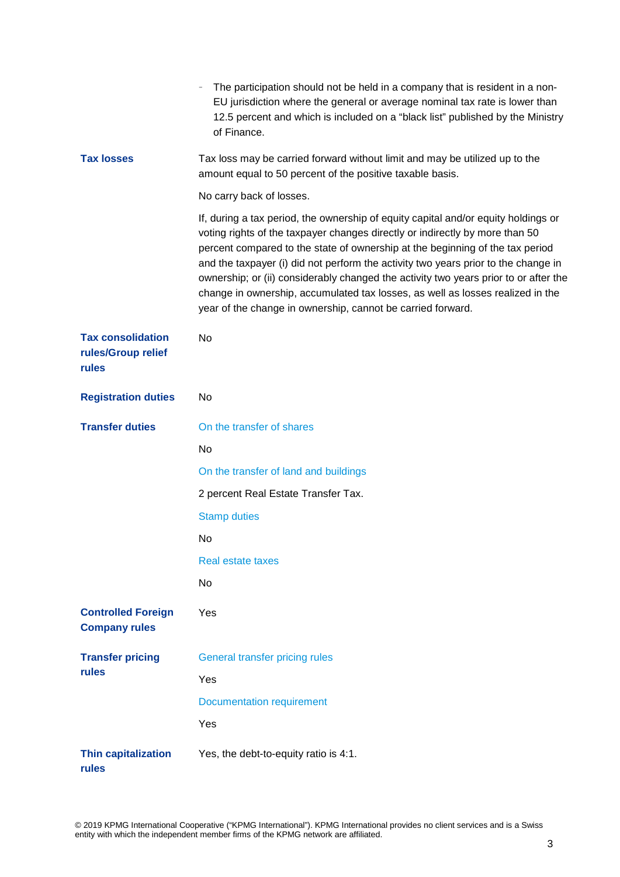|                                                         | The participation should not be held in a company that is resident in a non-<br>EU jurisdiction where the general or average nominal tax rate is lower than<br>12.5 percent and which is included on a "black list" published by the Ministry<br>of Finance.                                                                                                                                                                                                                                                                                                                       |
|---------------------------------------------------------|------------------------------------------------------------------------------------------------------------------------------------------------------------------------------------------------------------------------------------------------------------------------------------------------------------------------------------------------------------------------------------------------------------------------------------------------------------------------------------------------------------------------------------------------------------------------------------|
| <b>Tax losses</b>                                       | Tax loss may be carried forward without limit and may be utilized up to the<br>amount equal to 50 percent of the positive taxable basis.                                                                                                                                                                                                                                                                                                                                                                                                                                           |
|                                                         | No carry back of losses.                                                                                                                                                                                                                                                                                                                                                                                                                                                                                                                                                           |
|                                                         | If, during a tax period, the ownership of equity capital and/or equity holdings or<br>voting rights of the taxpayer changes directly or indirectly by more than 50<br>percent compared to the state of ownership at the beginning of the tax period<br>and the taxpayer (i) did not perform the activity two years prior to the change in<br>ownership; or (ii) considerably changed the activity two years prior to or after the<br>change in ownership, accumulated tax losses, as well as losses realized in the<br>year of the change in ownership, cannot be carried forward. |
| <b>Tax consolidation</b><br>rules/Group relief<br>rules | No                                                                                                                                                                                                                                                                                                                                                                                                                                                                                                                                                                                 |
| <b>Registration duties</b>                              | No                                                                                                                                                                                                                                                                                                                                                                                                                                                                                                                                                                                 |
| <b>Transfer duties</b>                                  | On the transfer of shares                                                                                                                                                                                                                                                                                                                                                                                                                                                                                                                                                          |
|                                                         | No                                                                                                                                                                                                                                                                                                                                                                                                                                                                                                                                                                                 |
|                                                         | On the transfer of land and buildings                                                                                                                                                                                                                                                                                                                                                                                                                                                                                                                                              |
|                                                         | 2 percent Real Estate Transfer Tax.                                                                                                                                                                                                                                                                                                                                                                                                                                                                                                                                                |
|                                                         | <b>Stamp duties</b>                                                                                                                                                                                                                                                                                                                                                                                                                                                                                                                                                                |
|                                                         | No                                                                                                                                                                                                                                                                                                                                                                                                                                                                                                                                                                                 |
|                                                         | Real estate taxes                                                                                                                                                                                                                                                                                                                                                                                                                                                                                                                                                                  |
|                                                         | No                                                                                                                                                                                                                                                                                                                                                                                                                                                                                                                                                                                 |
| <b>Controlled Foreign</b><br><b>Company rules</b>       | Yes                                                                                                                                                                                                                                                                                                                                                                                                                                                                                                                                                                                |
| <b>Transfer pricing</b><br>rules                        | General transfer pricing rules                                                                                                                                                                                                                                                                                                                                                                                                                                                                                                                                                     |
|                                                         | Yes                                                                                                                                                                                                                                                                                                                                                                                                                                                                                                                                                                                |
|                                                         | <b>Documentation requirement</b>                                                                                                                                                                                                                                                                                                                                                                                                                                                                                                                                                   |
|                                                         | Yes                                                                                                                                                                                                                                                                                                                                                                                                                                                                                                                                                                                |
| <b>Thin capitalization</b><br>rules                     | Yes, the debt-to-equity ratio is 4:1.                                                                                                                                                                                                                                                                                                                                                                                                                                                                                                                                              |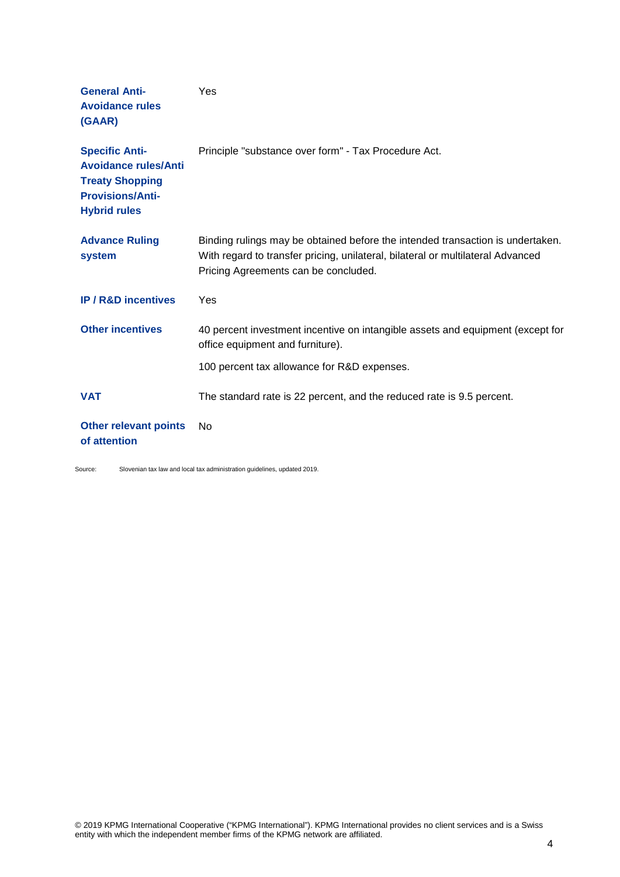| <b>General Anti-</b><br><b>Avoidance rules</b><br>(GAAR)                                                                         | Yes                                                                                                                                                                                                       |
|----------------------------------------------------------------------------------------------------------------------------------|-----------------------------------------------------------------------------------------------------------------------------------------------------------------------------------------------------------|
| <b>Specific Anti-</b><br><b>Avoidance rules/Anti</b><br><b>Treaty Shopping</b><br><b>Provisions/Anti-</b><br><b>Hybrid rules</b> | Principle "substance over form" - Tax Procedure Act.                                                                                                                                                      |
| <b>Advance Ruling</b><br>system                                                                                                  | Binding rulings may be obtained before the intended transaction is undertaken.<br>With regard to transfer pricing, unilateral, bilateral or multilateral Advanced<br>Pricing Agreements can be concluded. |
| <b>IP/R&amp;D incentives</b>                                                                                                     | Yes                                                                                                                                                                                                       |
| <b>Other incentives</b>                                                                                                          | 40 percent investment incentive on intangible assets and equipment (except for<br>office equipment and furniture).                                                                                        |
|                                                                                                                                  | 100 percent tax allowance for R&D expenses.                                                                                                                                                               |
| <b>VAT</b>                                                                                                                       | The standard rate is 22 percent, and the reduced rate is 9.5 percent.                                                                                                                                     |
| <b>Other relevant points</b><br>of attention                                                                                     | No.                                                                                                                                                                                                       |

Source: Slovenian tax law and local tax administration guidelines, updated 2019.